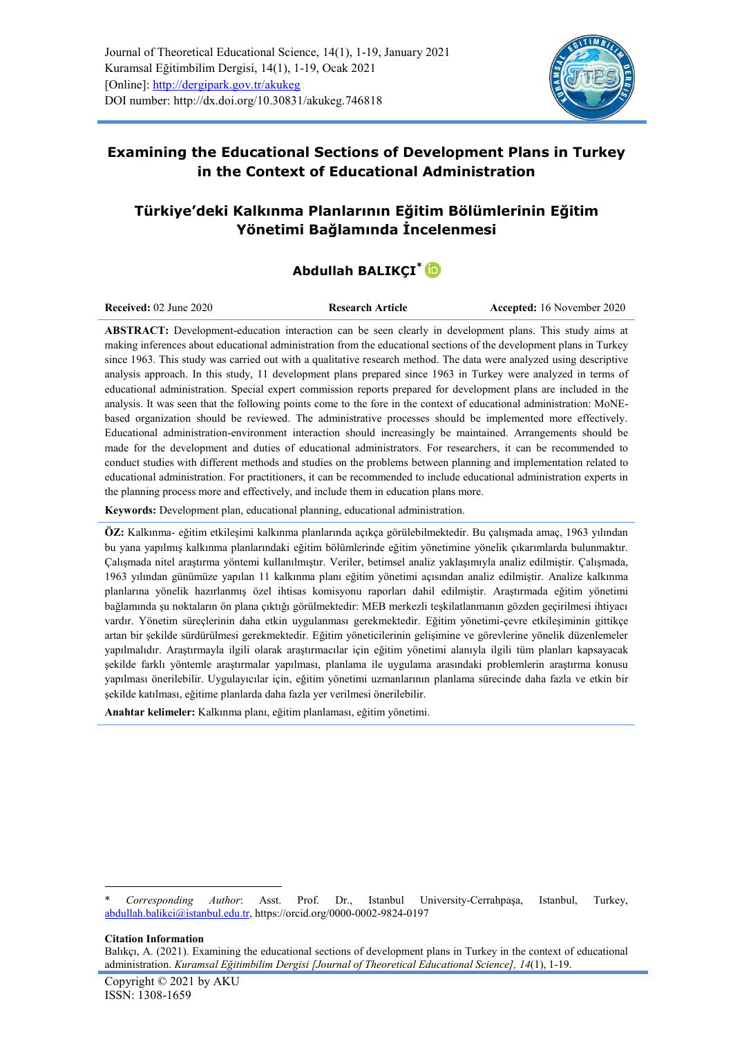

## **Examining the Educational Sections of Development Plans in Turkey in the Context of Educational Administration**

# **Türkiye'deki Kalkınma Planlarının Eğitim Bölümlerinin Eğitim Yönetimi Bağlamında İncelenmesi**

# **Abdullah BALIKÇI[\\*](https://orcid.org/0000-0002-9824-0197)**

**Received:** 02 June 2020 **Research Article Accepted:** 16 November 2020

**ABSTRACT:** Development-education interaction can be seen clearly in development plans. This study aims at making inferences about educational administration from the educational sections of the development plans in Turkey since 1963. This study was carried out with a qualitative research method. The data were analyzed using descriptive analysis approach. In this study, 11 development plans prepared since 1963 in Turkey were analyzed in terms of educational administration. Special expert commission reports prepared for development plans are included in the analysis. It was seen that the following points come to the fore in the context of educational administration: MoNEbased organization should be reviewed. The administrative processes should be implemented more effectively. Educational administration-environment interaction should increasingly be maintained. Arrangements should be made for the development and duties of educational administrators. For researchers, it can be recommended to conduct studies with different methods and studies on the problems between planning and implementation related to educational administration. For practitioners, it can be recommended to include educational administration experts in the planning process more and effectively, and include them in education plans more.

**Keywords:** Development plan, educational planning, educational administration.

**ÖZ:** Kalkınma- eğitim etkileşimi kalkınma planlarında açıkça görülebilmektedir. Bu çalışmada amaç, 1963 yılından bu yana yapılmış kalkınma planlarındaki eğitim bölümlerinde eğitim yönetimine yönelik çıkarımlarda bulunmaktır. Çalışmada nitel araştırma yöntemi kullanılmıştır. Veriler, betimsel analiz yaklaşımıyla analiz edilmiştir. Çalışmada, 1963 yılından günümüze yapılan 11 kalkınma planı eğitim yönetimi açısından analiz edilmiştir. Analize kalkınma planlarına yönelik hazırlanmış özel ihtisas komisyonu raporları dahil edilmiştir. Araştırmada eğitim yönetimi bağlamında şu noktaların ön plana çıktığı görülmektedir: MEB merkezli teşkilatlanmanın gözden geçirilmesi ihtiyacı vardır. Yönetim süreçlerinin daha etkin uygulanması gerekmektedir. Eğitim yönetimi-çevre etkileşiminin gittikçe artan bir şekilde sürdürülmesi gerekmektedir. Eğitim yöneticilerinin gelişimine ve görevlerine yönelik düzenlemeler yapılmalıdır. Araştırmayla ilgili olarak araştırmacılar için eğitim yönetimi alanıyla ilgili tüm planları kapsayacak şekilde farklı yöntemle araştırmalar yapılması, planlama ile uygulama arasındaki problemlerin araştırma konusu yapılması önerilebilir. Uygulayıcılar için, eğitim yönetimi uzmanlarının planlama sürecinde daha fazla ve etkin bir şekilde katılması, eğitime planlarda daha fazla yer verilmesi önerilebilir.

**Anahtar kelimeler:** Kalkınma planı, eğitim planlaması, eğitim yönetimi.

**Citation Information** 

-

<sup>\*</sup> *Corresponding Author*: Asst. Prof. Dr., Istanbul University-Cerrahpaşa, Istanbul, Turkey, [abdullah.balikci@istanbul.edu.tr,](../../../../Downloads/abdullah.balikci@istanbul.edu.tr)<https://orcid.org/0000-0002-9824-0197>

Balıkçı, A. (2021). Examining the educational sections of development plans in Turkey in the context of educational administration. *Kuramsal Eğitimbilim Dergisi [Journal of Theoretical Educational Science], 14*(1), 1-19.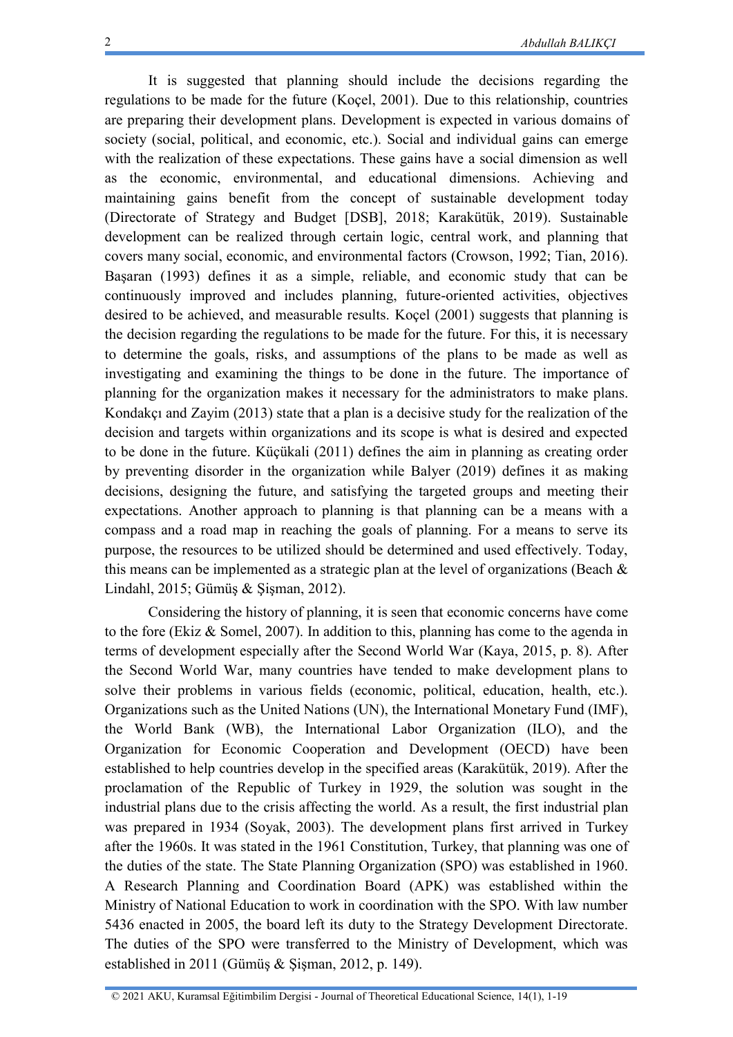It is suggested that planning should include the decisions regarding the regulations to be made for the future (Koçel, 2001). Due to this relationship, countries are preparing their development plans. Development is expected in various domains of society (social, political, and economic, etc.). Social and individual gains can emerge with the realization of these expectations. These gains have a social dimension as well as the economic, environmental, and educational dimensions. Achieving and maintaining gains benefit from the concept of sustainable development today (Directorate of Strategy and Budget [DSB], 2018; Karakütük, 2019). Sustainable development can be realized through certain logic, central work, and planning that covers many social, economic, and environmental factors (Crowson, 1992; Tian, 2016). Başaran (1993) defines it as a simple, reliable, and economic study that can be continuously improved and includes planning, future-oriented activities, objectives desired to be achieved, and measurable results. Koçel (2001) suggests that planning is the decision regarding the regulations to be made for the future. For this, it is necessary to determine the goals, risks, and assumptions of the plans to be made as well as investigating and examining the things to be done in the future. The importance of planning for the organization makes it necessary for the administrators to make plans. Kondakçı and Zayim (2013) state that a plan is a decisive study for the realization of the decision and targets within organizations and its scope is what is desired and expected to be done in the future. Küçükali (2011) defines the aim in planning as creating order by preventing disorder in the organization while Balyer (2019) defines it as making decisions, designing the future, and satisfying the targeted groups and meeting their expectations. Another approach to planning is that planning can be a means with a compass and a road map in reaching the goals of planning. For a means to serve its purpose, the resources to be utilized should be determined and used effectively. Today, this means can be implemented as a strategic plan at the level of organizations (Beach  $\&$ Lindahl, 2015; Gümüş & Şişman, 2012).

Considering the history of planning, it is seen that economic concerns have come to the fore (Ekiz & Somel, 2007). In addition to this, planning has come to the agenda in terms of development especially after the Second World War (Kaya, 2015, p. 8). After the Second World War, many countries have tended to make development plans to solve their problems in various fields (economic, political, education, health, etc.). Organizations such as the United Nations (UN), the International Monetary Fund (IMF), the World Bank (WB), the International Labor Organization (ILO), and the Organization for Economic Cooperation and Development (OECD) have been established to help countries develop in the specified areas (Karakütük, 2019). After the proclamation of the Republic of Turkey in 1929, the solution was sought in the industrial plans due to the crisis affecting the world. As a result, the first industrial plan was prepared in 1934 (Soyak, 2003). The development plans first arrived in Turkey after the 1960s. It was stated in the 1961 Constitution, Turkey, that planning was one of the duties of the state. The State Planning Organization (SPO) was established in 1960. A Research Planning and Coordination Board (APK) was established within the Ministry of National Education to work in coordination with the SPO. With law number 5436 enacted in 2005, the board left its duty to the Strategy Development Directorate. The duties of the SPO were transferred to the Ministry of Development, which was established in 2011 (Gümüş & Şişman, 2012, p. 149).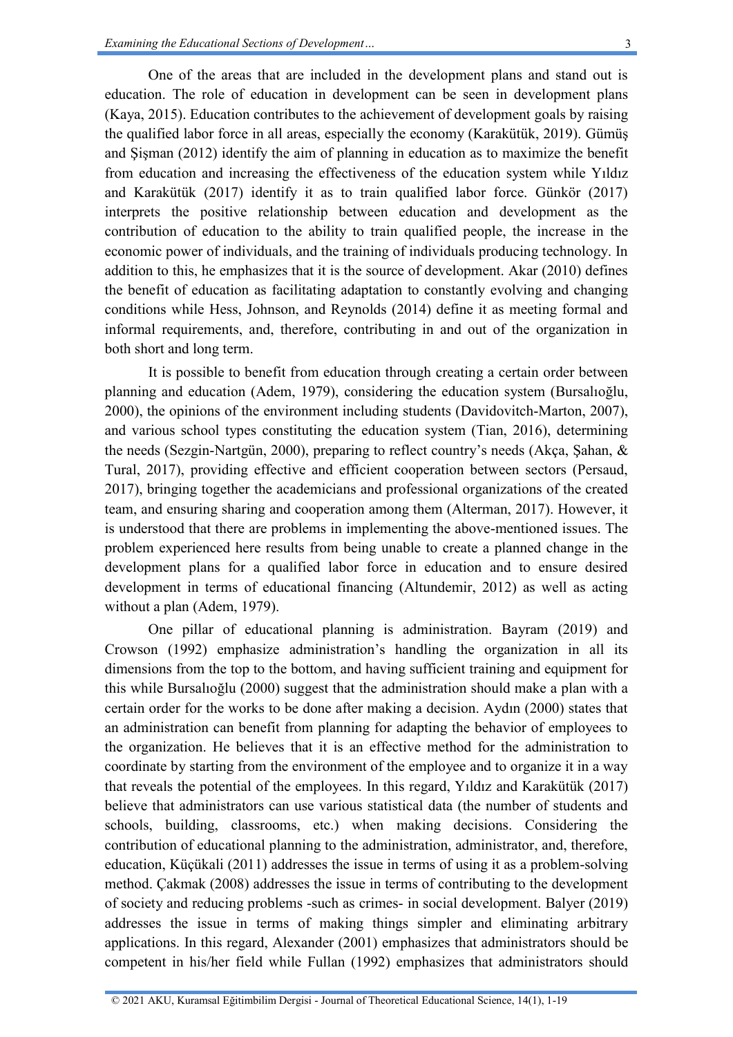One of the areas that are included in the development plans and stand out is education. The role of education in development can be seen in development plans (Kaya, 2015). Education contributes to the achievement of development goals by raising the qualified labor force in all areas, especially the economy (Karakütük, 2019). Gümüş and Şişman (2012) identify the aim of planning in education as to maximize the benefit from education and increasing the effectiveness of the education system while Yıldız and Karakütük (2017) identify it as to train qualified labor force. Günkör (2017) interprets the positive relationship between education and development as the contribution of education to the ability to train qualified people, the increase in the economic power of individuals, and the training of individuals producing technology. In addition to this, he emphasizes that it is the source of development. Akar (2010) defines the benefit of education as facilitating adaptation to constantly evolving and changing conditions while Hess, Johnson, and Reynolds (2014) define it as meeting formal and informal requirements, and, therefore, contributing in and out of the organization in both short and long term.

It is possible to benefit from education through creating a certain order between planning and education (Adem, 1979), considering the education system (Bursalıoğlu, 2000), the opinions of the environment including students (Davidovitch-Marton, 2007), and various school types constituting the education system (Tian, 2016), determining the needs (Sezgin-Nartgün, 2000), preparing to reflect country's needs (Akça, Şahan, & Tural, 2017), providing effective and efficient cooperation between sectors (Persaud, 2017), bringing together the academicians and professional organizations of the created team, and ensuring sharing and cooperation among them (Alterman, 2017). However, it is understood that there are problems in implementing the above-mentioned issues. The problem experienced here results from being unable to create a planned change in the development plans for a qualified labor force in education and to ensure desired development in terms of educational financing (Altundemir, 2012) as well as acting without a plan (Adem, 1979).

One pillar of educational planning is administration. Bayram (2019) and Crowson (1992) emphasize administration's handling the organization in all its dimensions from the top to the bottom, and having sufficient training and equipment for this while Bursalıoğlu (2000) suggest that the administration should make a plan with a certain order for the works to be done after making a decision. Aydın (2000) states that an administration can benefit from planning for adapting the behavior of employees to the organization. He believes that it is an effective method for the administration to coordinate by starting from the environment of the employee and to organize it in a way that reveals the potential of the employees. In this regard, Yıldız and Karakütük (2017) believe that administrators can use various statistical data (the number of students and schools, building, classrooms, etc.) when making decisions. Considering the contribution of educational planning to the administration, administrator, and, therefore, education, Küçükali (2011) addresses the issue in terms of using it as a problem-solving method. Çakmak (2008) addresses the issue in terms of contributing to the development of society and reducing problems -such as crimes- in social development. Balyer (2019) addresses the issue in terms of making things simpler and eliminating arbitrary applications. In this regard, Alexander (2001) emphasizes that administrators should be competent in his/her field while Fullan (1992) emphasizes that administrators should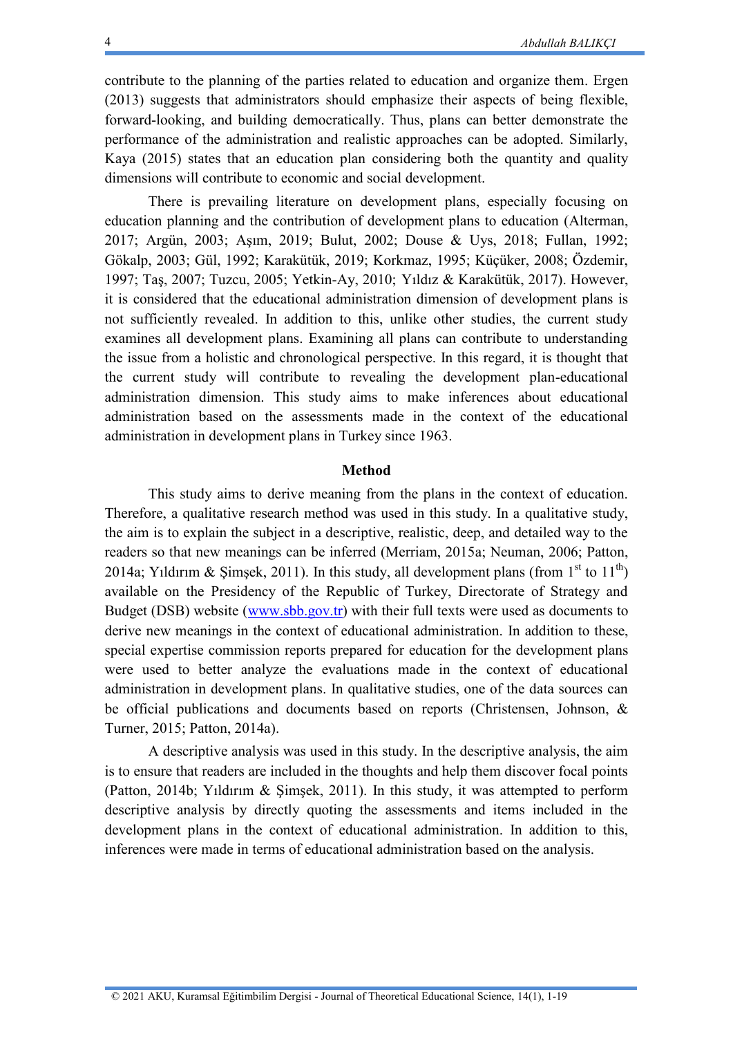contribute to the planning of the parties related to education and organize them. Ergen (2013) suggests that administrators should emphasize their aspects of being flexible, forward-looking, and building democratically. Thus, plans can better demonstrate the performance of the administration and realistic approaches can be adopted. Similarly, Kaya (2015) states that an education plan considering both the quantity and quality dimensions will contribute to economic and social development.

There is prevailing literature on development plans, especially focusing on education planning and the contribution of development plans to education (Alterman, 2017; Argün, 2003; Aşım, 2019; Bulut, 2002; Douse & Uys, 2018; Fullan, 1992; Gökalp, 2003; Gül, 1992; Karakütük, 2019; Korkmaz, 1995; Küçüker, 2008; Özdemir, 1997; Taş, 2007; Tuzcu, 2005; Yetkin-Ay, 2010; Yıldız & Karakütük, 2017). However, it is considered that the educational administration dimension of development plans is not sufficiently revealed. In addition to this, unlike other studies, the current study examines all development plans. Examining all plans can contribute to understanding the issue from a holistic and chronological perspective. In this regard, it is thought that the current study will contribute to revealing the development plan-educational administration dimension. This study aims to make inferences about educational administration based on the assessments made in the context of the educational administration in development plans in Turkey since 1963.

#### **Method**

This study aims to derive meaning from the plans in the context of education. Therefore, a qualitative research method was used in this study. In a qualitative study, the aim is to explain the subject in a descriptive, realistic, deep, and detailed way to the readers so that new meanings can be inferred (Merriam, 2015a; Neuman, 2006; Patton, 2014a; Yıldırım & Şimşek, 2011). In this study, all development plans (from 1<sup>st</sup> to 11<sup>th</sup>) available on the Presidency of the Republic of Turkey, Directorate of Strategy and Budget (DSB) website [\(www.sbb.gov.tr\)](../../../../Downloads/www.sbb.gov.tr) with their full texts were used as documents to derive new meanings in the context of educational administration. In addition to these, special expertise commission reports prepared for education for the development plans were used to better analyze the evaluations made in the context of educational administration in development plans. In qualitative studies, one of the data sources can be official publications and documents based on reports (Christensen, Johnson, & Turner, 2015; Patton, 2014a).

A descriptive analysis was used in this study. In the descriptive analysis, the aim is to ensure that readers are included in the thoughts and help them discover focal points (Patton, 2014b; Yıldırım & Şimşek, 2011). In this study, it was attempted to perform descriptive analysis by directly quoting the assessments and items included in the development plans in the context of educational administration. In addition to this, inferences were made in terms of educational administration based on the analysis.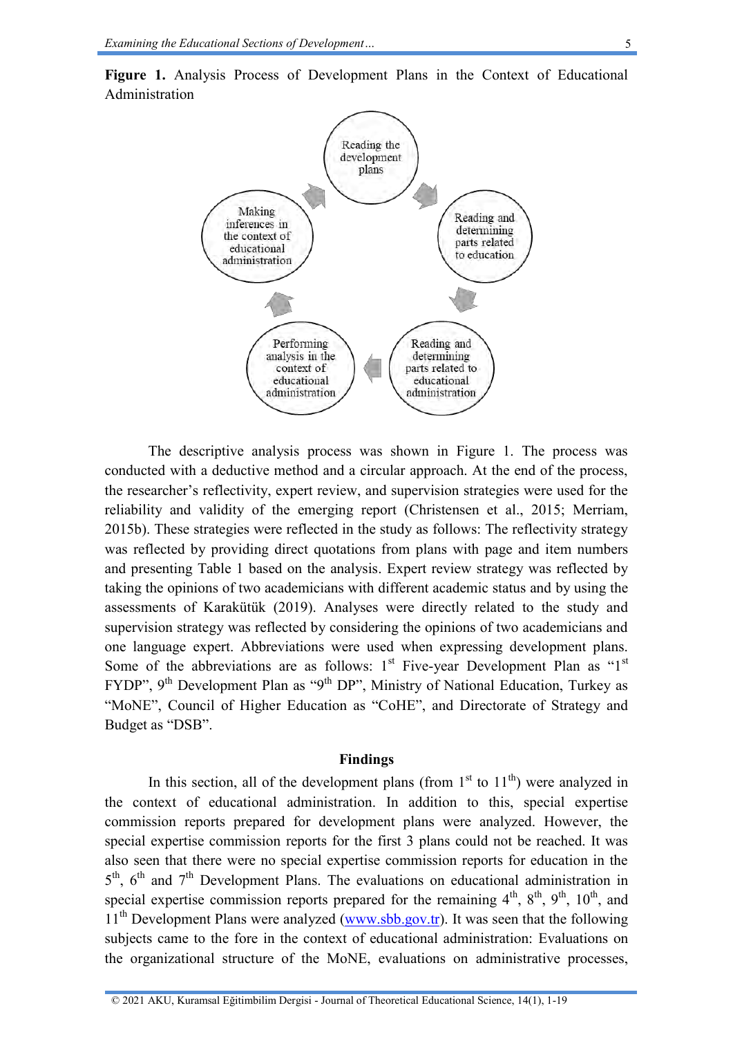

**Figure 1.** Analysis Process of Development Plans in the Context of Educational Administration

The descriptive analysis process was shown in Figure 1. The process was conducted with a deductive method and a circular approach. At the end of the process, the researcher's reflectivity, expert review, and supervision strategies were used for the reliability and validity of the emerging report (Christensen et al., 2015; Merriam, 2015b). These strategies were reflected in the study as follows: The reflectivity strategy was reflected by providing direct quotations from plans with page and item numbers and presenting Table 1 based on the analysis. Expert review strategy was reflected by taking the opinions of two academicians with different academic status and by using the assessments of Karakütük (2019). Analyses were directly related to the study and supervision strategy was reflected by considering the opinions of two academicians and one language expert. Abbreviations were used when expressing development plans. Some of the abbreviations are as follows:  $1<sup>st</sup>$  Five-year Development Plan as " $1<sup>st</sup>$ FYDP", 9<sup>th</sup> Development Plan as "9<sup>th</sup> DP", Ministry of National Education, Turkey as "MoNE", Council of Higher Education as "CoHE", and Directorate of Strategy and Budget as "DSB".

#### **Findings**

In this section, all of the development plans (from  $1<sup>st</sup>$  to  $11<sup>th</sup>$ ) were analyzed in the context of educational administration. In addition to this, special expertise commission reports prepared for development plans were analyzed. However, the special expertise commission reports for the first 3 plans could not be reached. It was also seen that there were no special expertise commission reports for education in the  $5<sup>th</sup>$ ,  $6<sup>th</sup>$  and  $7<sup>th</sup>$  Development Plans. The evaluations on educational administration in special expertise commission reports prepared for the remaining  $4^{th}$ ,  $8^{th}$ ,  $9^{th}$ ,  $10^{th}$ , and  $11<sup>th</sup>$  Development Plans were analyzed [\(www.sbb.gov.tr\)](../../../../Downloads/www.sbb.gov.tr). It was seen that the following subjects came to the fore in the context of educational administration: Evaluations on the organizational structure of the MoNE, evaluations on administrative processes,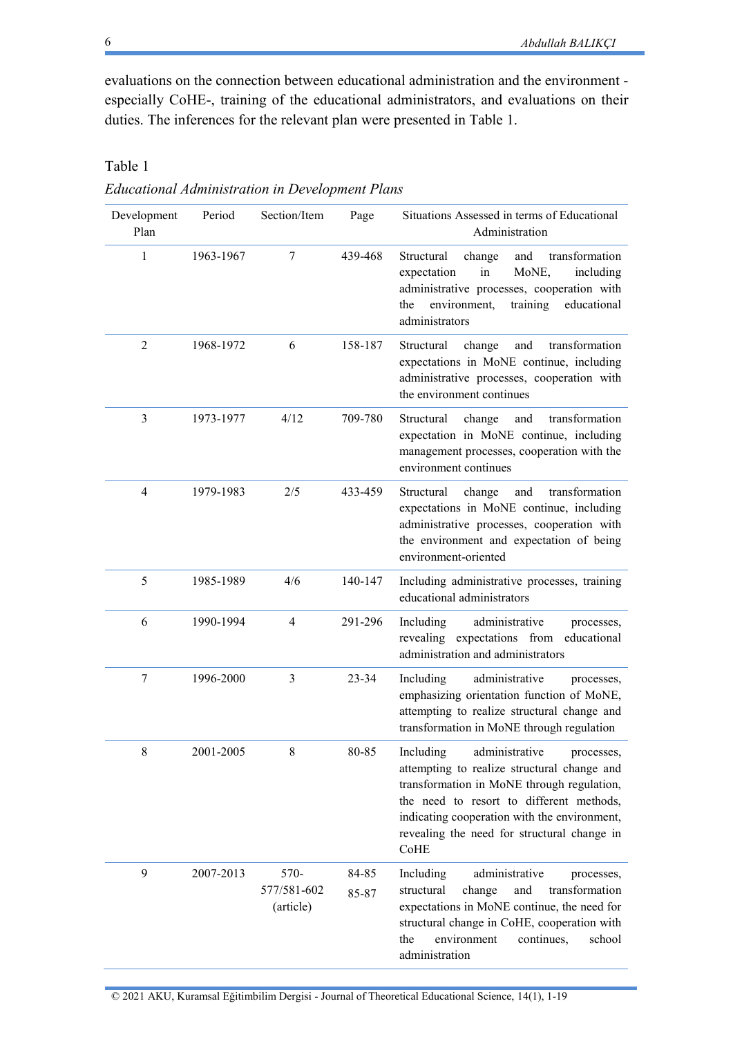evaluations on the connection between educational administration and the environment especially CoHE-, training of the educational administrators, and evaluations on their duties. The inferences for the relevant plan were presented in Table 1.

| Development<br>Plan | Period    | Section/Item                     | Page           | Situations Assessed in terms of Educational<br>Administration                                                                                                                                                                                                                             |
|---------------------|-----------|----------------------------------|----------------|-------------------------------------------------------------------------------------------------------------------------------------------------------------------------------------------------------------------------------------------------------------------------------------------|
| 1                   | 1963-1967 | 7                                | 439-468        | Structural<br>change<br>transformation<br>and<br>expectation<br>in<br>MoNE,<br>including<br>administrative processes, cooperation with<br>training<br>environment,<br>educational<br>the<br>administrators                                                                                |
| $\overline{2}$      | 1968-1972 | 6                                | 158-187        | Structural<br>change<br>transformation<br>and<br>expectations in MoNE continue, including<br>administrative processes, cooperation with<br>the environment continues                                                                                                                      |
| 3                   | 1973-1977 | 4/12                             | 709-780        | Structural<br>transformation<br>change<br>and<br>expectation in MoNE continue, including<br>management processes, cooperation with the<br>environment continues                                                                                                                           |
| $\overline{4}$      | 1979-1983 | 2/5                              | 433-459        | transformation<br>Structural<br>change<br>and<br>expectations in MoNE continue, including<br>administrative processes, cooperation with<br>the environment and expectation of being<br>environment-oriented                                                                               |
| 5                   | 1985-1989 | 4/6                              | 140-147        | Including administrative processes, training<br>educational administrators                                                                                                                                                                                                                |
| 6                   | 1990-1994 | $\overline{4}$                   | 291-296        | Including<br>administrative<br>processes,<br>revealing expectations from<br>educational<br>administration and administrators                                                                                                                                                              |
| 7                   | 1996-2000 | 3                                | $23 - 34$      | administrative<br>Including<br>processes,<br>emphasizing orientation function of MoNE,<br>attempting to realize structural change and<br>transformation in MoNE through regulation                                                                                                        |
| 8                   | 2001-2005 | 8                                | 80-85          | Including<br>administrative<br>processes.<br>attempting to realize structural change and<br>transformation in MoNE through regulation,<br>the need to resort to different methods,<br>indicating cooperation with the environment,<br>revealing the need for structural change in<br>CoHE |
| 9                   | 2007-2013 | 570-<br>577/581-602<br>(article) | 84-85<br>85-87 | Including<br>administrative<br>processes,<br>transformation<br>structural<br>change<br>and<br>expectations in MoNE continue, the need for<br>structural change in CoHE, cooperation with<br>environment<br>the<br>continues,<br>school<br>administration                                  |

*Educational Administration in Development Plans* 

Table 1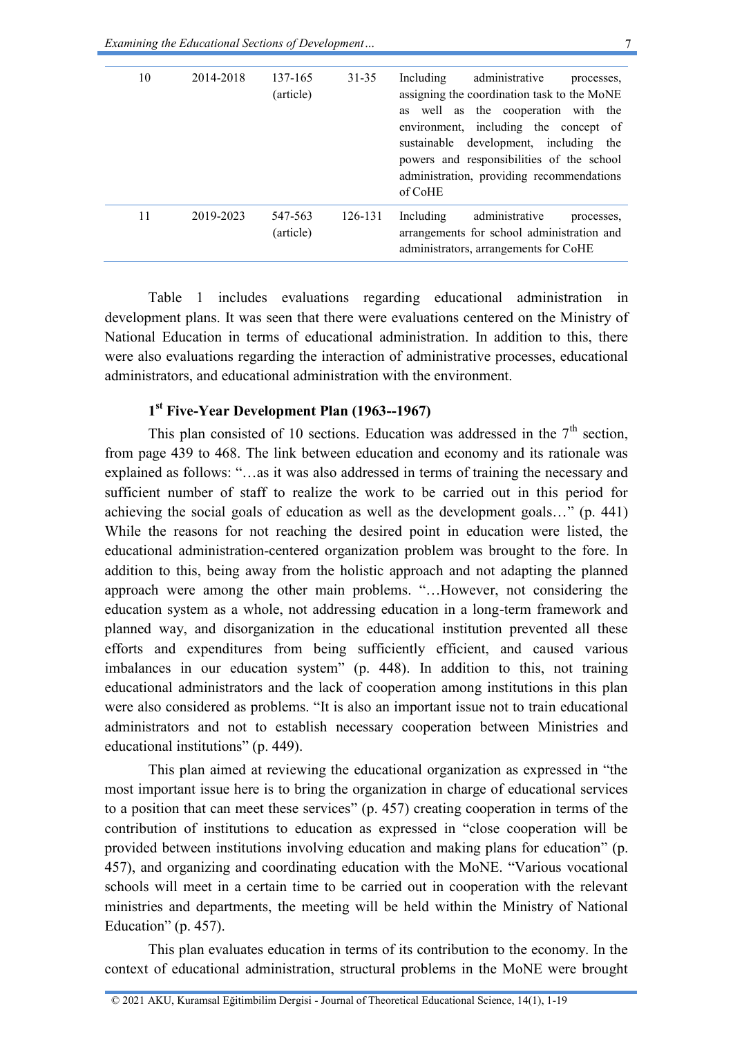| 10 | 2014-2018 | 137-165<br>(article) | $31 - 35$ | Including<br>administrative<br>processes,<br>assigning the coordination task to the MoNE<br>as well as the cooperation with the<br>environment, including the concept of<br>development,<br>including<br>sustainable<br>the<br>powers and responsibilities of the school<br>administration, providing recommendations<br>of CoHE |
|----|-----------|----------------------|-----------|----------------------------------------------------------------------------------------------------------------------------------------------------------------------------------------------------------------------------------------------------------------------------------------------------------------------------------|
| 11 | 2019-2023 | 547-563<br>(article) | 126-131   | administrative<br>Including<br>processes.<br>arrangements for school administration and<br>administrators, arrangements for CoHE                                                                                                                                                                                                 |

Table 1 includes evaluations regarding educational administration in development plans. It was seen that there were evaluations centered on the Ministry of National Education in terms of educational administration. In addition to this, there were also evaluations regarding the interaction of administrative processes, educational administrators, and educational administration with the environment.

### **1 st Five-Year Development Plan (1963--1967)**

This plan consisted of 10 sections. Education was addressed in the  $7<sup>th</sup>$  section, from page 439 to 468. The link between education and economy and its rationale was explained as follows: "…as it was also addressed in terms of training the necessary and sufficient number of staff to realize the work to be carried out in this period for achieving the social goals of education as well as the development goals…" (p. 441) While the reasons for not reaching the desired point in education were listed, the educational administration-centered organization problem was brought to the fore. In addition to this, being away from the holistic approach and not adapting the planned approach were among the other main problems. "…However, not considering the education system as a whole, not addressing education in a long-term framework and planned way, and disorganization in the educational institution prevented all these efforts and expenditures from being sufficiently efficient, and caused various imbalances in our education system" (p. 448). In addition to this, not training educational administrators and the lack of cooperation among institutions in this plan were also considered as problems. "It is also an important issue not to train educational administrators and not to establish necessary cooperation between Ministries and educational institutions" (p. 449).

This plan aimed at reviewing the educational organization as expressed in "the most important issue here is to bring the organization in charge of educational services to a position that can meet these services" (p. 457) creating cooperation in terms of the contribution of institutions to education as expressed in "close cooperation will be provided between institutions involving education and making plans for education" (p. 457), and organizing and coordinating education with the MoNE. "Various vocational schools will meet in a certain time to be carried out in cooperation with the relevant ministries and departments, the meeting will be held within the Ministry of National Education" (p. 457).

This plan evaluates education in terms of its contribution to the economy. In the context of educational administration, structural problems in the MoNE were brought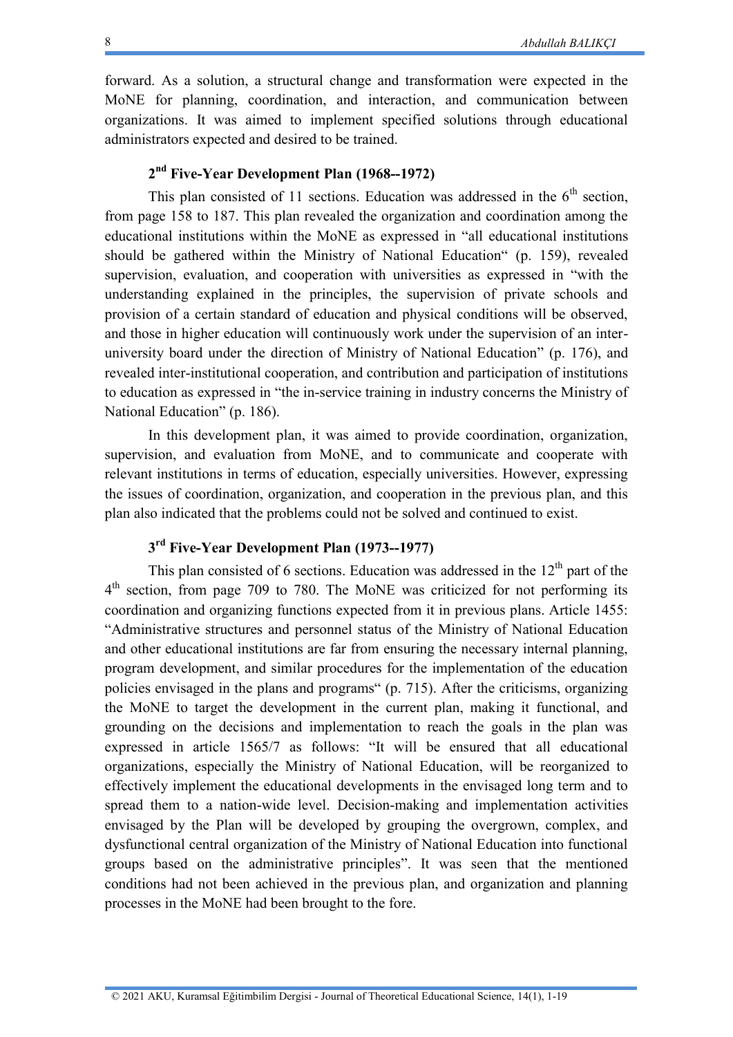forward. As a solution, a structural change and transformation were expected in the MoNE for planning, coordination, and interaction, and communication between organizations. It was aimed to implement specified solutions through educational administrators expected and desired to be trained.

### **2 nd Five-Year Development Plan (1968--1972)**

This plan consisted of 11 sections. Education was addressed in the  $6<sup>th</sup>$  section, from page 158 to 187. This plan revealed the organization and coordination among the educational institutions within the MoNE as expressed in "all educational institutions should be gathered within the Ministry of National Education" (p. 159), revealed supervision, evaluation, and cooperation with universities as expressed in "with the understanding explained in the principles, the supervision of private schools and provision of a certain standard of education and physical conditions will be observed, and those in higher education will continuously work under the supervision of an interuniversity board under the direction of Ministry of National Education" (p. 176), and revealed inter-institutional cooperation, and contribution and participation of institutions to education as expressed in "the in-service training in industry concerns the Ministry of National Education" (p. 186).

In this development plan, it was aimed to provide coordination, organization, supervision, and evaluation from MoNE, and to communicate and cooperate with relevant institutions in terms of education, especially universities. However, expressing the issues of coordination, organization, and cooperation in the previous plan, and this plan also indicated that the problems could not be solved and continued to exist.

### **3 rd Five-Year Development Plan (1973--1977)**

This plan consisted of 6 sections. Education was addressed in the  $12<sup>th</sup>$  part of the 4<sup>th</sup> section, from page 709 to 780. The MoNE was criticized for not performing its coordination and organizing functions expected from it in previous plans. Article 1455: "Administrative structures and personnel status of the Ministry of National Education and other educational institutions are far from ensuring the necessary internal planning, program development, and similar procedures for the implementation of the education policies envisaged in the plans and programs" (p. 715). After the criticisms, organizing the MoNE to target the development in the current plan, making it functional, and grounding on the decisions and implementation to reach the goals in the plan was expressed in article 1565/7 as follows: "It will be ensured that all educational organizations, especially the Ministry of National Education, will be reorganized to effectively implement the educational developments in the envisaged long term and to spread them to a nation-wide level. Decision-making and implementation activities envisaged by the Plan will be developed by grouping the overgrown, complex, and dysfunctional central organization of the Ministry of National Education into functional groups based on the administrative principles". It was seen that the mentioned conditions had not been achieved in the previous plan, and organization and planning processes in the MoNE had been brought to the fore.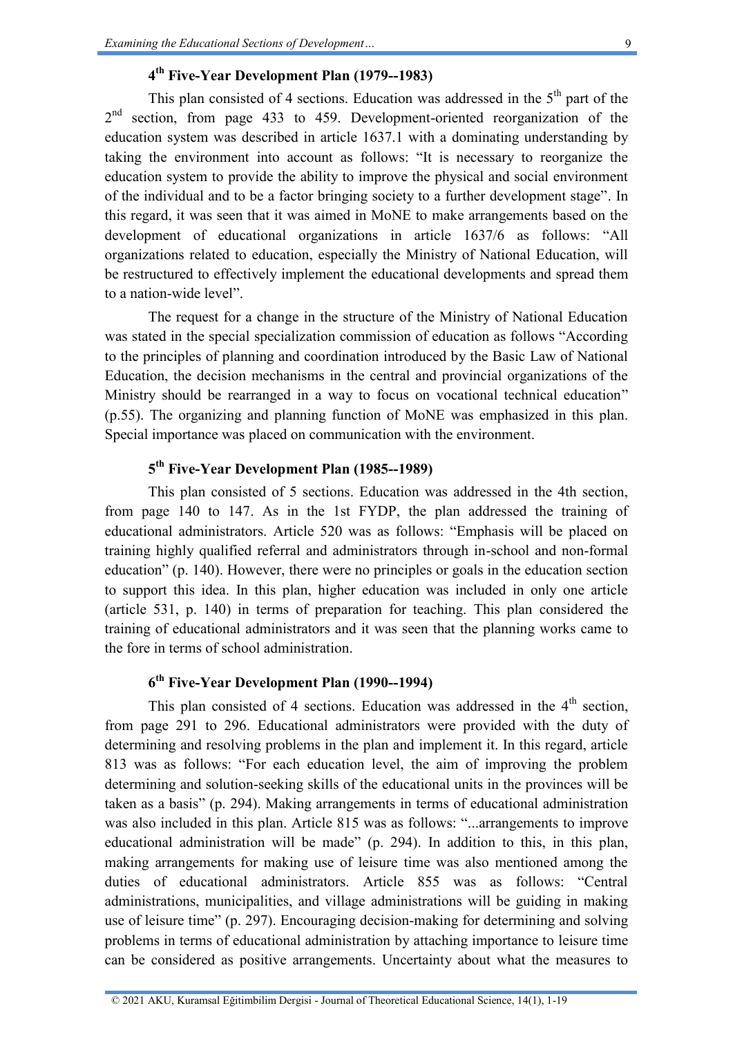### **4 th Five-Year Development Plan (1979--1983)**

This plan consisted of 4 sections. Education was addressed in the  $5<sup>th</sup>$  part of the 2<sup>nd</sup> section, from page 433 to 459. Development-oriented reorganization of the education system was described in article 1637.1 with a dominating understanding by taking the environment into account as follows: "It is necessary to reorganize the education system to provide the ability to improve the physical and social environment of the individual and to be a factor bringing society to a further development stage". In this regard, it was seen that it was aimed in MoNE to make arrangements based on the development of educational organizations in article 1637/6 as follows: "All organizations related to education, especially the Ministry of National Education, will be restructured to effectively implement the educational developments and spread them to a nation-wide level".

The request for a change in the structure of the Ministry of National Education was stated in the special specialization commission of education as follows "According to the principles of planning and coordination introduced by the Basic Law of National Education, the decision mechanisms in the central and provincial organizations of the Ministry should be rearranged in a way to focus on vocational technical education" (p.55). The organizing and planning function of MoNE was emphasized in this plan. Special importance was placed on communication with the environment.

### **5 th Five-Year Development Plan (1985--1989)**

This plan consisted of 5 sections. Education was addressed in the 4th section, from page 140 to 147. As in the 1st FYDP, the plan addressed the training of educational administrators. Article 520 was as follows: "Emphasis will be placed on training highly qualified referral and administrators through in-school and non-formal education" (p. 140). However, there were no principles or goals in the education section to support this idea. In this plan, higher education was included in only one article (article 531, p. 140) in terms of preparation for teaching. This plan considered the training of educational administrators and it was seen that the planning works came to the fore in terms of school administration.

### **6 th Five-Year Development Plan (1990--1994)**

This plan consisted of 4 sections. Education was addressed in the  $4<sup>th</sup>$  section, from page 291 to 296. Educational administrators were provided with the duty of determining and resolving problems in the plan and implement it. In this regard, article 813 was as follows: "For each education level, the aim of improving the problem determining and solution-seeking skills of the educational units in the provinces will be taken as a basis" (p. 294). Making arrangements in terms of educational administration was also included in this plan. Article 815 was as follows: "...arrangements to improve educational administration will be made" (p. 294). In addition to this, in this plan, making arrangements for making use of leisure time was also mentioned among the duties of educational administrators. Article 855 was as follows: "Central administrations, municipalities, and village administrations will be guiding in making use of leisure time" (p. 297). Encouraging decision-making for determining and solving problems in terms of educational administration by attaching importance to leisure time can be considered as positive arrangements. Uncertainty about what the measures to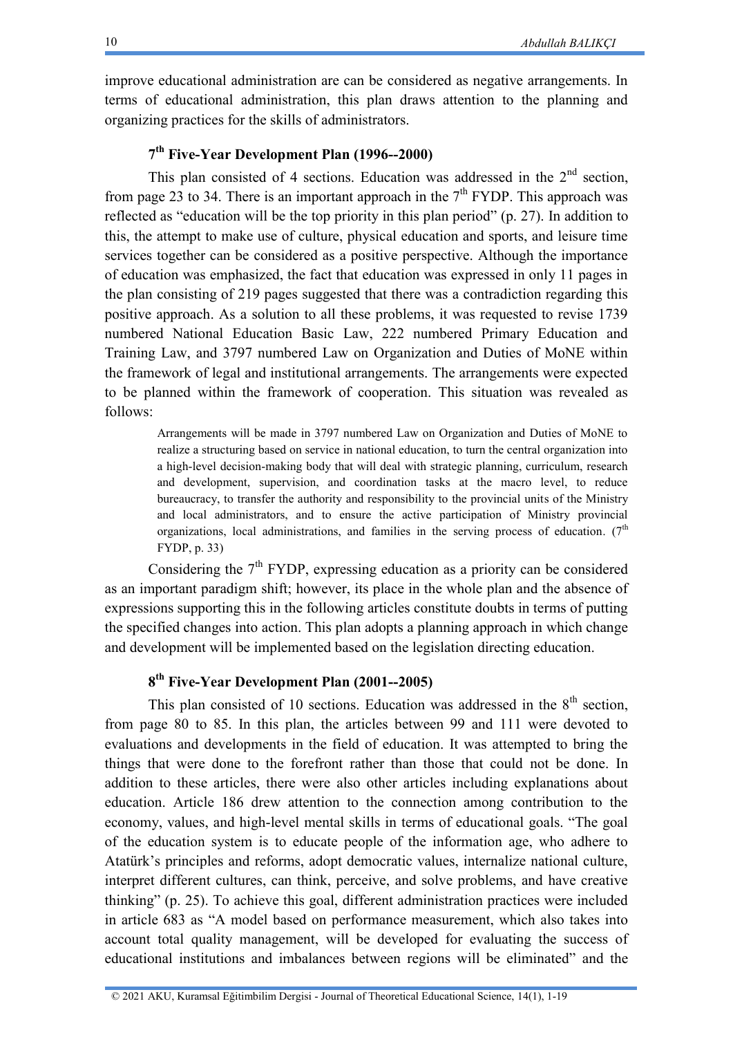improve educational administration are can be considered as negative arrangements. In terms of educational administration, this plan draws attention to the planning and organizing practices for the skills of administrators.

### **7 th Five-Year Development Plan (1996--2000)**

This plan consisted of 4 sections. Education was addressed in the  $2<sup>nd</sup>$  section, from page 23 to 34. There is an important approach in the  $7<sup>th</sup> FYDP$ . This approach was reflected as "education will be the top priority in this plan period" (p. 27). In addition to this, the attempt to make use of culture, physical education and sports, and leisure time services together can be considered as a positive perspective. Although the importance of education was emphasized, the fact that education was expressed in only 11 pages in the plan consisting of 219 pages suggested that there was a contradiction regarding this positive approach. As a solution to all these problems, it was requested to revise 1739 numbered National Education Basic Law, 222 numbered Primary Education and Training Law, and 3797 numbered Law on Organization and Duties of MoNE within the framework of legal and institutional arrangements. The arrangements were expected to be planned within the framework of cooperation. This situation was revealed as follows:

Arrangements will be made in 3797 numbered Law on Organization and Duties of MoNE to realize a structuring based on service in national education, to turn the central organization into a high-level decision-making body that will deal with strategic planning, curriculum, research and development, supervision, and coordination tasks at the macro level, to reduce bureaucracy, to transfer the authority and responsibility to the provincial units of the Ministry and local administrators, and to ensure the active participation of Ministry provincial organizations, local administrations, and families in the serving process of education.  $(7<sup>th</sup>$ FYDP, p. 33)

Considering the  $7<sup>th</sup> FYDP$ , expressing education as a priority can be considered as an important paradigm shift; however, its place in the whole plan and the absence of expressions supporting this in the following articles constitute doubts in terms of putting the specified changes into action. This plan adopts a planning approach in which change and development will be implemented based on the legislation directing education.

### **8 th Five-Year Development Plan (2001--2005)**

This plan consisted of 10 sections. Education was addressed in the  $8<sup>th</sup>$  section, from page 80 to 85. In this plan, the articles between 99 and 111 were devoted to evaluations and developments in the field of education. It was attempted to bring the things that were done to the forefront rather than those that could not be done. In addition to these articles, there were also other articles including explanations about education. Article 186 drew attention to the connection among contribution to the economy, values, and high-level mental skills in terms of educational goals. "The goal of the education system is to educate people of the information age, who adhere to Atatürk's principles and reforms, adopt democratic values, internalize national culture, interpret different cultures, can think, perceive, and solve problems, and have creative thinking" (p. 25). To achieve this goal, different administration practices were included in article 683 as "A model based on performance measurement, which also takes into account total quality management, will be developed for evaluating the success of educational institutions and imbalances between regions will be eliminated" and the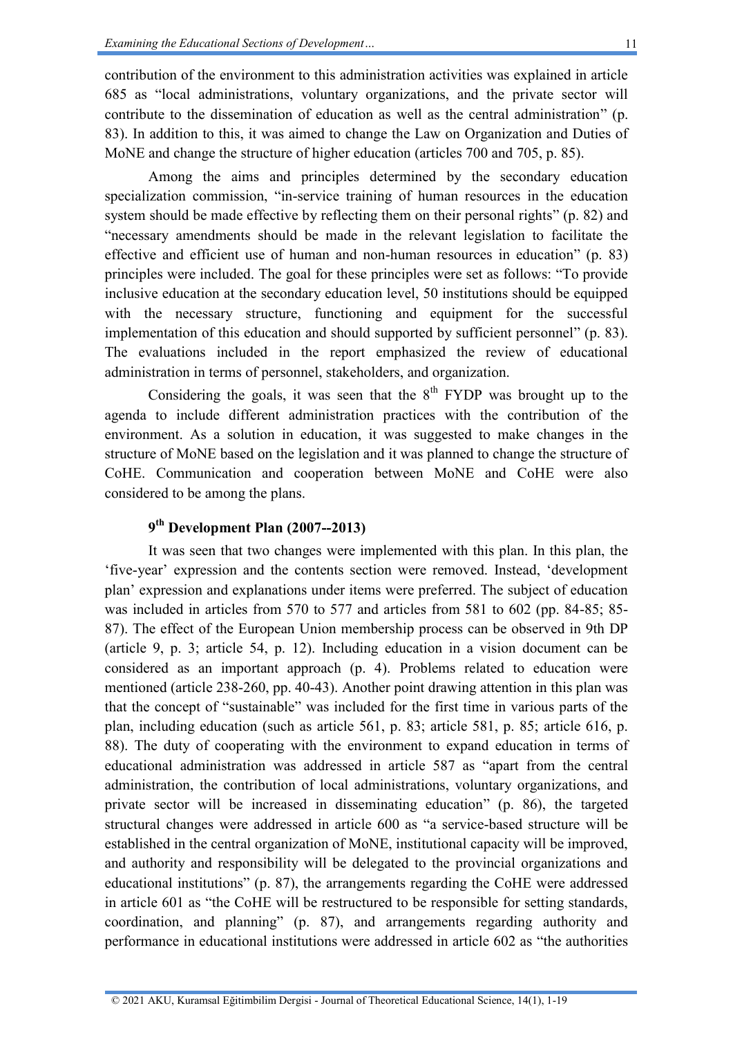contribution of the environment to this administration activities was explained in article 685 as "local administrations, voluntary organizations, and the private sector will contribute to the dissemination of education as well as the central administration" (p. 83). In addition to this, it was aimed to change the Law on Organization and Duties of MoNE and change the structure of higher education (articles 700 and 705, p. 85).

Among the aims and principles determined by the secondary education specialization commission, "in-service training of human resources in the education system should be made effective by reflecting them on their personal rights" (p. 82) and "necessary amendments should be made in the relevant legislation to facilitate the effective and efficient use of human and non-human resources in education" (p. 83) principles were included. The goal for these principles were set as follows: "To provide inclusive education at the secondary education level, 50 institutions should be equipped with the necessary structure, functioning and equipment for the successful implementation of this education and should supported by sufficient personnel" (p. 83). The evaluations included in the report emphasized the review of educational administration in terms of personnel, stakeholders, and organization.

Considering the goals, it was seen that the  $8<sup>th</sup>$  FYDP was brought up to the agenda to include different administration practices with the contribution of the environment. As a solution in education, it was suggested to make changes in the structure of MoNE based on the legislation and it was planned to change the structure of CoHE. Communication and cooperation between MoNE and CoHE were also considered to be among the plans.

## **9 th Development Plan (2007--2013)**

It was seen that two changes were implemented with this plan. In this plan, the 'five-year' expression and the contents section were removed. Instead, 'development plan' expression and explanations under items were preferred. The subject of education was included in articles from 570 to 577 and articles from 581 to 602 (pp. 84-85; 85- 87). The effect of the European Union membership process can be observed in 9th DP (article 9, p. 3; article 54, p. 12). Including education in a vision document can be considered as an important approach (p. 4). Problems related to education were mentioned (article 238-260, pp. 40-43). Another point drawing attention in this plan was that the concept of "sustainable" was included for the first time in various parts of the plan, including education (such as article 561, p. 83; article 581, p. 85; article 616, p. 88). The duty of cooperating with the environment to expand education in terms of educational administration was addressed in article 587 as "apart from the central administration, the contribution of local administrations, voluntary organizations, and private sector will be increased in disseminating education" (p. 86), the targeted structural changes were addressed in article 600 as "a service-based structure will be established in the central organization of MoNE, institutional capacity will be improved, and authority and responsibility will be delegated to the provincial organizations and educational institutions" (p. 87), the arrangements regarding the CoHE were addressed in article 601 as "the CoHE will be restructured to be responsible for setting standards, coordination, and planning" (p. 87), and arrangements regarding authority and performance in educational institutions were addressed in article 602 as "the authorities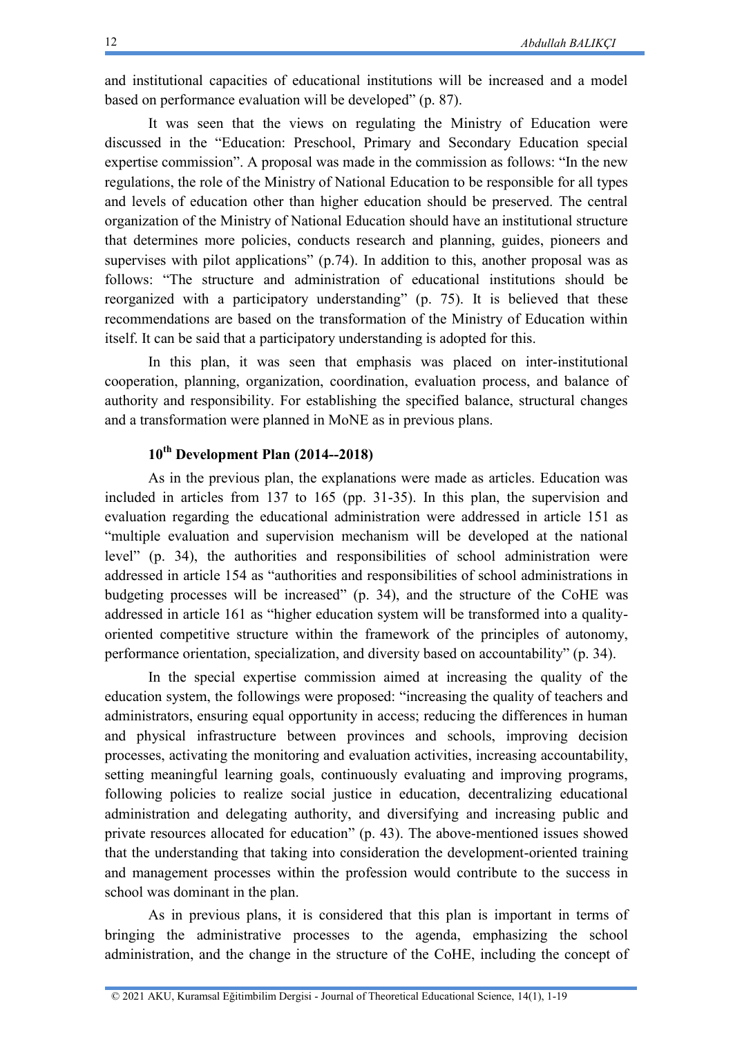and institutional capacities of educational institutions will be increased and a model based on performance evaluation will be developed" (p. 87).

It was seen that the views on regulating the Ministry of Education were discussed in the "Education: Preschool, Primary and Secondary Education special expertise commission". A proposal was made in the commission as follows: "In the new regulations, the role of the Ministry of National Education to be responsible for all types and levels of education other than higher education should be preserved. The central organization of the Ministry of National Education should have an institutional structure that determines more policies, conducts research and planning, guides, pioneers and supervises with pilot applications" (p.74). In addition to this, another proposal was as follows: "The structure and administration of educational institutions should be reorganized with a participatory understanding" (p. 75). It is believed that these recommendations are based on the transformation of the Ministry of Education within itself. It can be said that a participatory understanding is adopted for this.

In this plan, it was seen that emphasis was placed on inter-institutional cooperation, planning, organization, coordination, evaluation process, and balance of authority and responsibility. For establishing the specified balance, structural changes and a transformation were planned in MoNE as in previous plans.

# **10th Development Plan (2014--2018)**

As in the previous plan, the explanations were made as articles. Education was included in articles from 137 to 165 (pp. 31-35). In this plan, the supervision and evaluation regarding the educational administration were addressed in article 151 as "multiple evaluation and supervision mechanism will be developed at the national level" (p. 34), the authorities and responsibilities of school administration were addressed in article 154 as "authorities and responsibilities of school administrations in budgeting processes will be increased" (p. 34), and the structure of the CoHE was addressed in article 161 as "higher education system will be transformed into a qualityoriented competitive structure within the framework of the principles of autonomy, performance orientation, specialization, and diversity based on accountability" (p. 34).

In the special expertise commission aimed at increasing the quality of the education system, the followings were proposed: "increasing the quality of teachers and administrators, ensuring equal opportunity in access; reducing the differences in human and physical infrastructure between provinces and schools, improving decision processes, activating the monitoring and evaluation activities, increasing accountability, setting meaningful learning goals, continuously evaluating and improving programs, following policies to realize social justice in education, decentralizing educational administration and delegating authority, and diversifying and increasing public and private resources allocated for education" (p. 43). The above-mentioned issues showed that the understanding that taking into consideration the development-oriented training and management processes within the profession would contribute to the success in school was dominant in the plan.

As in previous plans, it is considered that this plan is important in terms of bringing the administrative processes to the agenda, emphasizing the school administration, and the change in the structure of the CoHE, including the concept of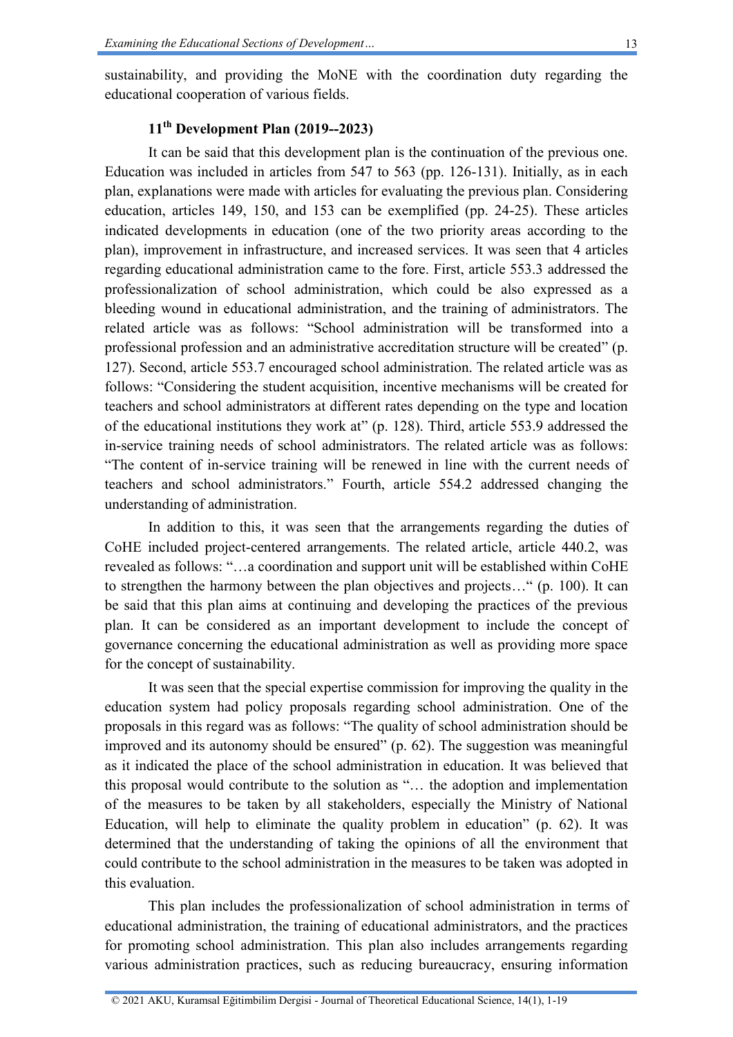sustainability, and providing the MoNE with the coordination duty regarding the educational cooperation of various fields.

#### **11th Development Plan (2019--2023)**

It can be said that this development plan is the continuation of the previous one. Education was included in articles from 547 to 563 (pp. 126-131). Initially, as in each plan, explanations were made with articles for evaluating the previous plan. Considering education, articles 149, 150, and 153 can be exemplified (pp. 24-25). These articles indicated developments in education (one of the two priority areas according to the plan), improvement in infrastructure, and increased services. It was seen that 4 articles regarding educational administration came to the fore. First, article 553.3 addressed the professionalization of school administration, which could be also expressed as a bleeding wound in educational administration, and the training of administrators. The related article was as follows: "School administration will be transformed into a professional profession and an administrative accreditation structure will be created" (p. 127). Second, article 553.7 encouraged school administration. The related article was as follows: "Considering the student acquisition, incentive mechanisms will be created for teachers and school administrators at different rates depending on the type and location of the educational institutions they work at" (p. 128). Third, article 553.9 addressed the in-service training needs of school administrators. The related article was as follows: "The content of in-service training will be renewed in line with the current needs of teachers and school administrators." Fourth, article 554.2 addressed changing the understanding of administration.

In addition to this, it was seen that the arrangements regarding the duties of CoHE included project-centered arrangements. The related article, article 440.2, was revealed as follows: "…a coordination and support unit will be established within CoHE to strengthen the harmony between the plan objectives and projects…" (p. 100). It can be said that this plan aims at continuing and developing the practices of the previous plan. It can be considered as an important development to include the concept of governance concerning the educational administration as well as providing more space for the concept of sustainability.

It was seen that the special expertise commission for improving the quality in the education system had policy proposals regarding school administration. One of the proposals in this regard was as follows: "The quality of school administration should be improved and its autonomy should be ensured" (p. 62). The suggestion was meaningful as it indicated the place of the school administration in education. It was believed that this proposal would contribute to the solution as "… the adoption and implementation of the measures to be taken by all stakeholders, especially the Ministry of National Education, will help to eliminate the quality problem in education" (p. 62). It was determined that the understanding of taking the opinions of all the environment that could contribute to the school administration in the measures to be taken was adopted in this evaluation.

This plan includes the professionalization of school administration in terms of educational administration, the training of educational administrators, and the practices for promoting school administration. This plan also includes arrangements regarding various administration practices, such as reducing bureaucracy, ensuring information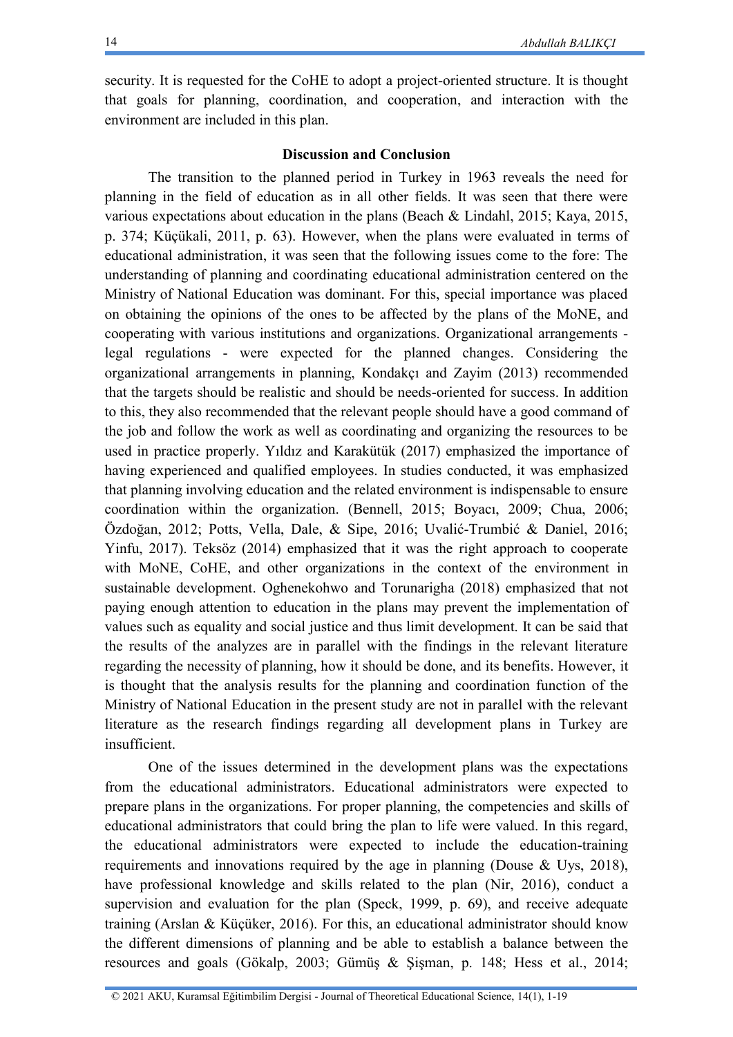security. It is requested for the CoHE to adopt a project-oriented structure. It is thought that goals for planning, coordination, and cooperation, and interaction with the environment are included in this plan.

#### **Discussion and Conclusion**

The transition to the planned period in Turkey in 1963 reveals the need for planning in the field of education as in all other fields. It was seen that there were various expectations about education in the plans (Beach & Lindahl, 2015; Kaya, 2015, p. 374; Küçükali, 2011, p. 63). However, when the plans were evaluated in terms of educational administration, it was seen that the following issues come to the fore: The understanding of planning and coordinating educational administration centered on the Ministry of National Education was dominant. For this, special importance was placed on obtaining the opinions of the ones to be affected by the plans of the MoNE, and cooperating with various institutions and organizations. Organizational arrangements legal regulations - were expected for the planned changes. Considering the organizational arrangements in planning, Kondakçı and Zayim (2013) recommended that the targets should be realistic and should be needs-oriented for success. In addition to this, they also recommended that the relevant people should have a good command of the job and follow the work as well as coordinating and organizing the resources to be used in practice properly. Yıldız and Karakütük (2017) emphasized the importance of having experienced and qualified employees. In studies conducted, it was emphasized that planning involving education and the related environment is indispensable to ensure coordination within the organization. (Bennell, 2015; Boyacı, 2009; Chua, 2006; Özdoğan, 2012; Potts, Vella, Dale, & Sipe, 2016; Uvalić-Trumbić & Daniel, 2016; Yinfu, 2017). Teksöz (2014) emphasized that it was the right approach to cooperate with MoNE, CoHE, and other organizations in the context of the environment in sustainable development. Oghenekohwo and Torunarigha (2018) emphasized that not paying enough attention to education in the plans may prevent the implementation of values such as equality and social justice and thus limit development. It can be said that the results of the analyzes are in parallel with the findings in the relevant literature regarding the necessity of planning, how it should be done, and its benefits. However, it is thought that the analysis results for the planning and coordination function of the Ministry of National Education in the present study are not in parallel with the relevant literature as the research findings regarding all development plans in Turkey are insufficient.

One of the issues determined in the development plans was the expectations from the educational administrators. Educational administrators were expected to prepare plans in the organizations. For proper planning, the competencies and skills of educational administrators that could bring the plan to life were valued. In this regard, the educational administrators were expected to include the education-training requirements and innovations required by the age in planning (Douse & Uys, 2018), have professional knowledge and skills related to the plan (Nir, 2016), conduct a supervision and evaluation for the plan (Speck, 1999, p. 69), and receive adequate training (Arslan & Küçüker, 2016). For this, an educational administrator should know the different dimensions of planning and be able to establish a balance between the resources and goals (Gökalp, 2003; Gümüş & Şişman, p. 148; Hess et al., 2014;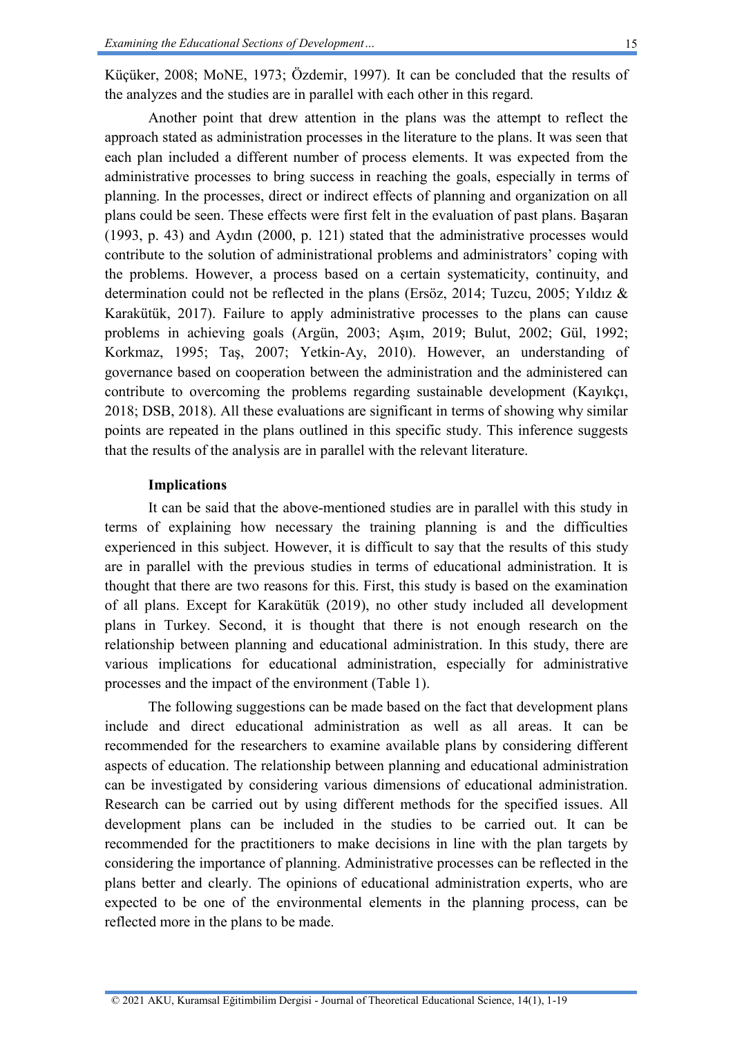Küçüker, 2008; MoNE, 1973; Özdemir, 1997). It can be concluded that the results of the analyzes and the studies are in parallel with each other in this regard.

Another point that drew attention in the plans was the attempt to reflect the approach stated as administration processes in the literature to the plans. It was seen that each plan included a different number of process elements. It was expected from the administrative processes to bring success in reaching the goals, especially in terms of planning. In the processes, direct or indirect effects of planning and organization on all plans could be seen. These effects were first felt in the evaluation of past plans. Başaran (1993, p. 43) and Aydın (2000, p. 121) stated that the administrative processes would contribute to the solution of administrational problems and administrators' coping with the problems. However, a process based on a certain systematicity, continuity, and determination could not be reflected in the plans (Ersöz, 2014; Tuzcu, 2005; Yıldız & Karakütük, 2017). Failure to apply administrative processes to the plans can cause problems in achieving goals (Argün, 2003; Aşım, 2019; Bulut, 2002; Gül, 1992; Korkmaz, 1995; Taş, 2007; Yetkin-Ay, 2010). However, an understanding of governance based on cooperation between the administration and the administered can contribute to overcoming the problems regarding sustainable development (Kayıkçı, 2018; DSB, 2018). All these evaluations are significant in terms of showing why similar points are repeated in the plans outlined in this specific study. This inference suggests that the results of the analysis are in parallel with the relevant literature.

#### **Implications**

It can be said that the above-mentioned studies are in parallel with this study in terms of explaining how necessary the training planning is and the difficulties experienced in this subject. However, it is difficult to say that the results of this study are in parallel with the previous studies in terms of educational administration. It is thought that there are two reasons for this. First, this study is based on the examination of all plans. Except for Karakütük (2019), no other study included all development plans in Turkey. Second, it is thought that there is not enough research on the relationship between planning and educational administration. In this study, there are various implications for educational administration, especially for administrative processes and the impact of the environment (Table 1).

The following suggestions can be made based on the fact that development plans include and direct educational administration as well as all areas. It can be recommended for the researchers to examine available plans by considering different aspects of education. The relationship between planning and educational administration can be investigated by considering various dimensions of educational administration. Research can be carried out by using different methods for the specified issues. All development plans can be included in the studies to be carried out. It can be recommended for the practitioners to make decisions in line with the plan targets by considering the importance of planning. Administrative processes can be reflected in the plans better and clearly. The opinions of educational administration experts, who are expected to be one of the environmental elements in the planning process, can be reflected more in the plans to be made.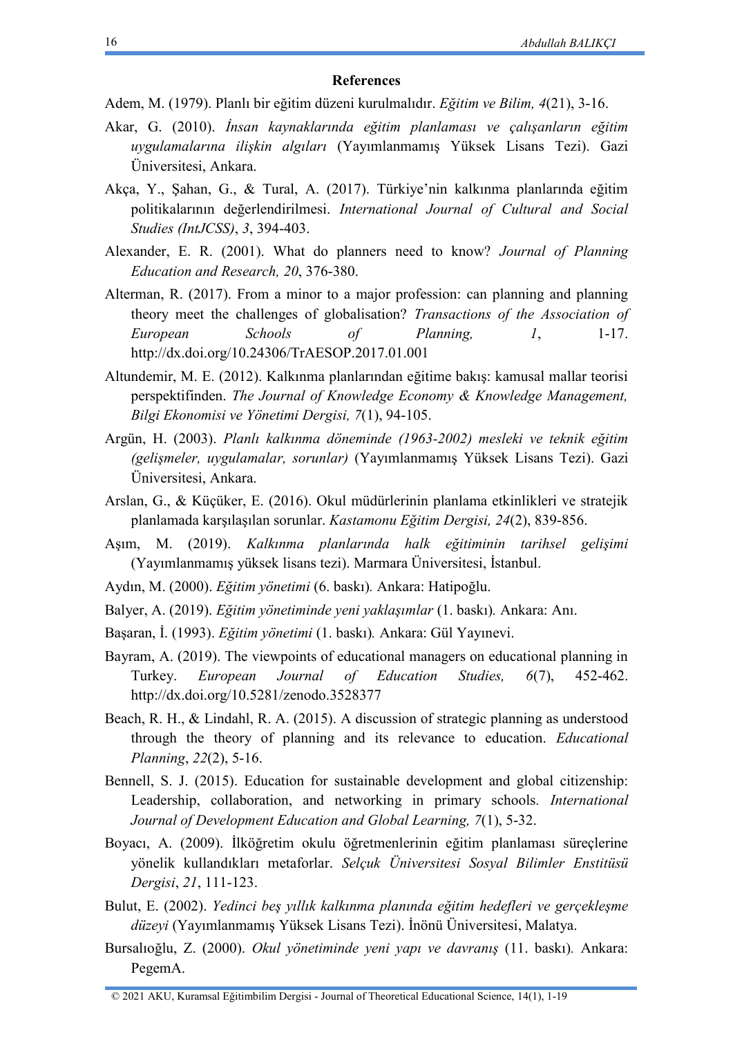#### **References**

Adem, M. (1979). Planlı bir eğitim düzeni kurulmalıdır. *Eğitim ve Bilim, 4*(21), 3-16.

- Akar, G. (2010). *İnsan kaynaklarında eğitim planlaması ve çalışanların eğitim uygulamalarına ilişkin algıları* (Yayımlanmamış Yüksek Lisans Tezi). Gazi Üniversitesi, Ankara.
- Akça, Y., Şahan, G., & Tural, A. (2017). Türkiye'nin kalkınma planlarında eğitim politikalarının değerlendirilmesi. *International Journal of Cultural and Social Studies (IntJCSS)*, *3*, 394-403.
- Alexander, E. R. (2001). What do planners need to know? *Journal of Planning Education and Research, 20*, 376-380.
- Alterman, R. (2017). From a minor to a major profession: can planning and planning theory meet the challenges of globalisation? *Transactions of the Association of European Schools of Planning, 1*, 1-17. http://dx.doi.org/10.24306/TrAESOP.2017.01.001
- Altundemir, M. E. (2012). Kalkınma planlarından eğitime bakış: kamusal mallar teorisi perspektifinden. *The Journal of Knowledge Economy & Knowledge Management, Bilgi Ekonomisi ve Yönetimi Dergisi, 7*(1), 94-105.
- Argün, H. (2003). *Planlı kalkınma döneminde (1963-2002) mesleki ve teknik eğitim (gelişmeler, uygulamalar, sorunlar)* (Yayımlanmamış Yüksek Lisans Tezi). Gazi Üniversitesi, Ankara.
- Arslan, G., & Küçüker, E. (2016). Okul müdürlerinin planlama etkinlikleri ve stratejik planlamada karşılaşılan sorunlar. *Kastamonu Eğitim Dergisi, 24*(2), 839-856.
- Aşım, M. (2019). *Kalkınma planlarında halk eğitiminin tarihsel gelişimi*  (Yayımlanmamış yüksek lisans tezi). Marmara Üniversitesi, İstanbul.
- Aydın, M. (2000). *Eğitim yönetimi* (6. baskı)*.* Ankara: Hatipoğlu.
- Balyer, A. (2019). *Eğitim yönetiminde yeni yaklaşımlar* (1. baskı)*.* Ankara: Anı.
- Başaran, İ. (1993). *Eğitim yönetimi* (1. baskı)*.* Ankara: Gül Yayınevi.
- Bayram, A. (2019). The viewpoints of educational managers on educational planning in Turkey. *European Journal of Education Studies, 6*(7), 452-462. http://dx.doi.org/10.5281/zenodo.3528377
- Beach, R. H., & Lindahl, R. A. (2015). A discussion of strategic planning as understood through the theory of planning and its relevance to education. *Educational Planning*, *22*(2), 5-16.
- Bennell, S. J. (2015). Education for sustainable development and global citizenship: Leadership, collaboration, and networking in primary schools*. International Journal of Development Education and Global Learning, 7*(1), 5-32.
- Boyacı, A. (2009). İlköğretim okulu öğretmenlerinin eğitim planlaması süreçlerine yönelik kullandıkları metaforlar. *Selçuk Üniversitesi Sosyal Bilimler Enstitüsü Dergisi*, *21*, 111-123.
- Bulut, E. (2002). *Yedinci beş yıllık kalkınma planında eğitim hedefleri ve gerçekleşme düzeyi* (Yayımlanmamış Yüksek Lisans Tezi). İnönü Üniversitesi, Malatya.
- Bursalıoğlu, Z. (2000). *Okul yönetiminde yeni yapı ve davranış* (11. baskı)*.* Ankara: PegemA.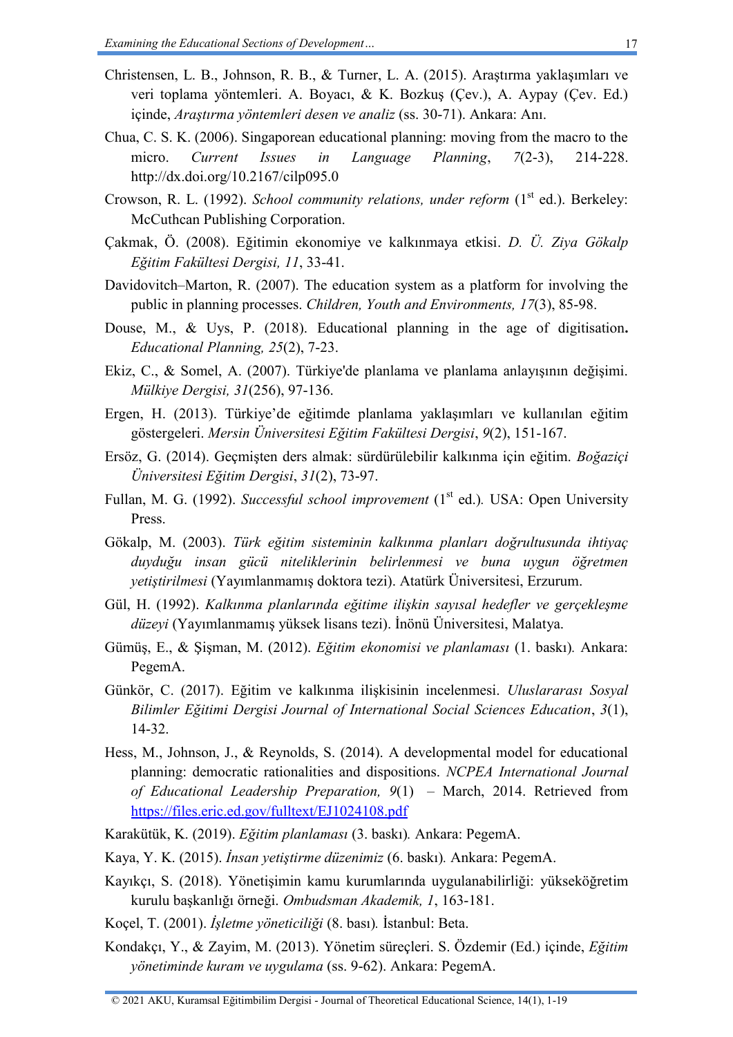- Christensen, L. B., Johnson, R. B., & Turner, L. A. (2015). Araştırma yaklaşımları ve veri toplama yöntemleri. A. Boyacı, & K. Bozkuş (Çev.), A. Aypay (Çev. Ed.) içinde, *Araştırma yöntemleri desen ve analiz* (ss. 30-71). Ankara: Anı.
- Chua, C. S. K. (2006). Singaporean educational planning: moving from the macro to the micro. *Current Issues in Language Planning*, *7*(2-3), 214-228. http://dx.doi.org/10.2167/cilp095.0
- Crowson, R. L. (1992). *School community relations, under reform* (1<sup>st</sup> ed.). Berkeley: McCuthcan Publishing Corporation.
- Çakmak, Ö. (2008). Eğitimin ekonomiye ve kalkınmaya etkisi. *D. Ü. Ziya Gökalp Eğitim Fakültesi Dergisi, 11*, 33-41.
- Davidovitch–Marton, R. (2007). The education system as a platform for involving the public in planning processes. *Children, Youth and Environments, 17*(3), 85-98.
- Douse, M., & Uys, P. (2018). Educational planning in the age of digitisation**.**  *Educational Planning, 25*(2), 7-23.
- Ekiz, C., & Somel, A. (2007). Türkiye'de planlama ve planlama anlayışının değişimi. *Mülkiye Dergisi, 31*(256), 97-136.
- Ergen, H. (2013). Türkiye'de eğitimde planlama yaklaşımları ve kullanılan eğitim göstergeleri. *Mersin Üniversitesi Eğitim Fakültesi Dergisi*, *9*(2), 151-167.
- Ersöz, G. (2014). Geçmişten ders almak: sürdürülebilir kalkınma için eğitim. *Boğaziçi Üniversitesi Eğitim Dergisi*, *31*(2), 73-97.
- Fullan, M. G. (1992). *Successful school improvement* (1<sup>st</sup> ed.). USA: Open University Press.
- Gökalp, M. (2003). *Türk eğitim sisteminin kalkınma planları doğrultusunda ihtiyaç duyduğu insan gücü niteliklerinin belirlenmesi ve buna uygun öğretmen yetiştirilmesi* (Yayımlanmamış doktora tezi). Atatürk Üniversitesi, Erzurum.
- Gül, H. (1992). *Kalkınma planlarında eğitime ilişkin sayısal hedefler ve gerçekleşme düzeyi* (Yayımlanmamış yüksek lisans tezi). İnönü Üniversitesi, Malatya.
- Gümüş, E., & Şişman, M. (2012). *Eğitim ekonomisi ve planlaması* (1. baskı)*.* Ankara: PegemA.
- Günkör, C. (2017). Eğitim ve kalkınma ilişkisinin incelenmesi. *Uluslararası Sosyal Bilimler Eğitimi Dergisi Journal of International Social Sciences Education*, *3*(1), 14-32.
- Hess, M., Johnson, J., & Reynolds, S. (2014). A developmental model for educational planning: democratic rationalities and dispositions. *NCPEA International Journal of Educational Leadership Preparation, 9*(1) – March, 2014. Retrieved from <https://files.eric.ed.gov/fulltext/EJ1024108.pdf>
- Karakütük, K. (2019). *Eğitim planlaması* (3. baskı)*.* Ankara: PegemA.
- Kaya, Y. K. (2015). *İnsan yetiştirme düzenimiz* (6. baskı)*.* Ankara: PegemA.
- Kayıkçı, S. (2018). Yönetişimin kamu kurumlarında uygulanabilirliği: yükseköğretim kurulu başkanlığı örneği. *Ombudsman Akademik, 1*, 163-181.
- Koçel, T. (2001). *İşletme yöneticiliği* (8. bası)*.* İstanbul: Beta.
- Kondakçı, Y., & Zayim, M. (2013). Yönetim süreçleri. S. Özdemir (Ed.) içinde, *Eğitim yönetiminde kuram ve uygulama* (ss. 9-62). Ankara: PegemA.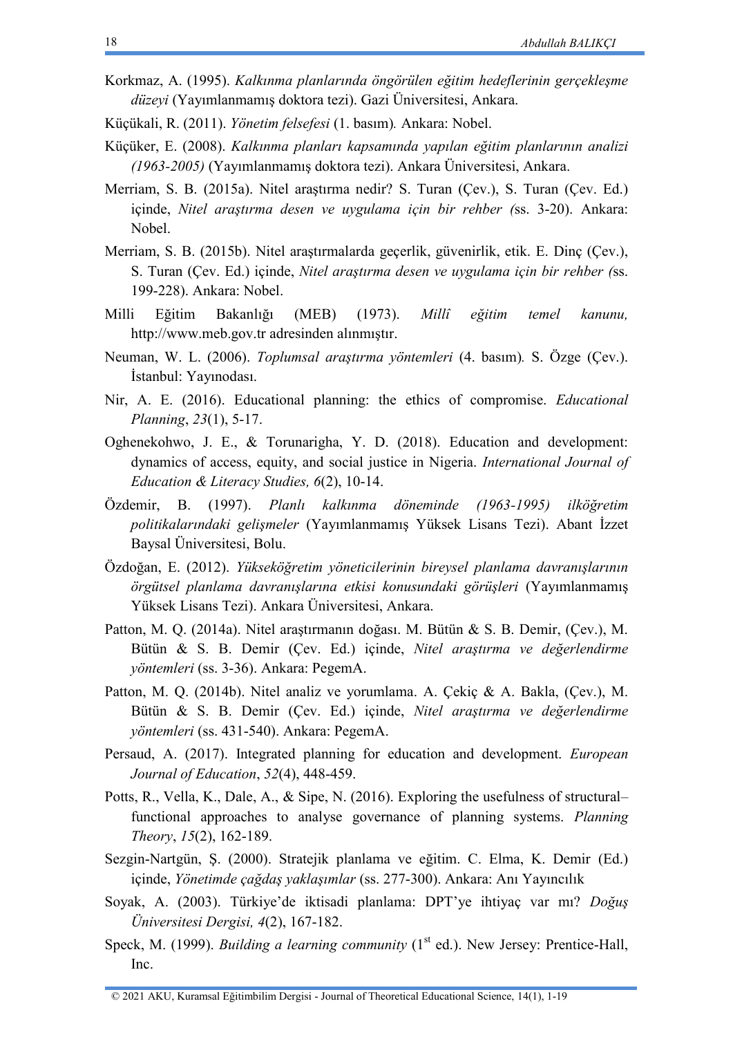- Korkmaz, A. (1995). *Kalkınma planlarında öngörülen eğitim hedeflerinin gerçekleşme düzeyi* (Yayımlanmamış doktora tezi). Gazi Üniversitesi, Ankara.
- Küçükali, R. (2011). *Yönetim felsefesi* (1. basım)*.* Ankara: Nobel.
- Küçüker, E. (2008). *Kalkınma planları kapsamında yapılan eğitim planlarının analizi (1963-2005)* (Yayımlanmamış doktora tezi). Ankara Üniversitesi, Ankara.
- Merriam, S. B. (2015a). Nitel araştırma nedir? S. Turan (Çev.), S. Turan (Çev. Ed.) içinde, *Nitel araştırma desen ve uygulama için bir rehber (*ss. 3-20). Ankara: Nobel.
- Merriam, S. B. (2015b). Nitel araştırmalarda geçerlik, güvenirlik, etik. E. Dinç (Çev.), S. Turan (Çev. Ed.) içinde, *Nitel araştırma desen ve uygulama için bir rehber (*ss. 199-228). Ankara: Nobel.
- Milli Eğitim Bakanlığı (MEB) (1973). *Millî eğitim temel kanunu,* [http://www.meb.gov.tr](http://www.meb.gov.tr/) adresinden alınmıştır.
- Neuman, W. L. (2006). *Toplumsal araştırma yöntemleri* (4. basım)*.* S. Özge (Çev.). İstanbul: Yayınodası.
- Nir, A. E. (2016). Educational planning: the ethics of compromise. *Educational Planning*, *23*(1), 5-17.
- Oghenekohwo, J. E., & Torunarigha, Y. D. (2018). Education and development: dynamics of access, equity, and social justice in Nigeria. *International Journal of Education & Literacy Studies, 6*(2), 10-14.
- Özdemir, B. (1997). *Planlı kalkınma döneminde (1963-1995) ilköğretim politikalarındaki gelişmeler* (Yayımlanmamış Yüksek Lisans Tezi). Abant İzzet Baysal Üniversitesi, Bolu.
- Özdoğan, E. (2012). *Yükseköğretim yöneticilerinin bireysel planlama davranışlarının örgütsel planlama davranışlarına etkisi konusundaki görüşleri* (Yayımlanmamış Yüksek Lisans Tezi). Ankara Üniversitesi, Ankara.
- Patton, M. Q. (2014a). Nitel araştırmanın doğası. M. Bütün & S. B. Demir, (Çev.), M. Bütün & S. B. Demir (Çev. Ed.) içinde, *Nitel araştırma ve değerlendirme yöntemleri* (ss. 3-36). Ankara: PegemA.
- Patton, M. Q. (2014b). Nitel analiz ve yorumlama. A. Çekiç & A. Bakla, (Çev.), M. Bütün & S. B. Demir (Çev. Ed.) içinde, *Nitel araştırma ve değerlendirme yöntemleri* (ss. 431-540). Ankara: PegemA.
- Persaud, A. (2017). Integrated planning for education and development. *European Journal of Education*, *52*(4), 448-459.
- Potts, R., Vella, K., Dale, A., & Sipe, N. (2016). Exploring the usefulness of structural– functional approaches to analyse governance of planning systems. *Planning Theory*, *15*(2), 162-189.
- Sezgin-Nartgün, Ş. (2000). Stratejik planlama ve eğitim. C. Elma, K. Demir (Ed.) içinde, *Yönetimde çağdaş yaklaşımlar* (ss. 277-300). Ankara: Anı Yayıncılık
- Soyak, A. (2003). Türkiye'de iktisadi planlama: DPT'ye ihtiyaç var mı? *Doğuş Üniversitesi Dergisi, 4*(2), 167-182.
- Speck, M. (1999). *Building a learning community* (1<sup>st</sup> ed.). New Jersey: Prentice-Hall, Inc.